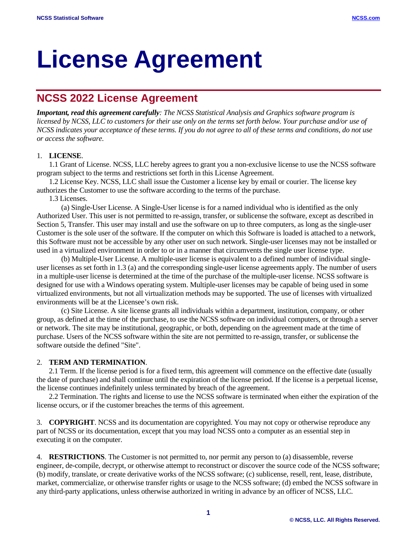# **License Agreement**

## **NCSS 2022 License Agreement**

*Important, read this agreement carefully: The NCSS Statistical Analysis and Graphics software program is licensed by NCSS, LLC to customers for their use only on the terms set forth below. Your purchase and/or use of NCSS indicates your acceptance of these terms. If you do not agree to all of these terms and conditions, do not use or access the software.*

### 1. **LICENSE**.

1.1 Grant of License. NCSS, LLC hereby agrees to grant you a non-exclusive license to use the NCSS software program subject to the terms and restrictions set forth in this License Agreement.

1.2 License Key. NCSS, LLC shall issue the Customer a license key by email or courier. The license key authorizes the Customer to use the software according to the terms of the purchase.

1.3 Licenses.

(a) Single-User License. A Single-User license is for a named individual who is identified as the only Authorized User. This user is not permitted to re-assign, transfer, or sublicense the software, except as described in Section 5, Transfer. This user may install and use the software on up to three computers, as long as the single-user Customer is the sole user of the software. If the computer on which this Software is loaded is attached to a network, this Software must not be accessible by any other user on such network. Single-user licenses may not be installed or used in a virtualized environment in order to or in a manner that circumvents the single user license type.

(b) Multiple-User License. A multiple-user license is equivalent to a defined number of individual singleuser licenses as set forth in 1.3 (a) and the corresponding single-user license agreements apply. The number of users in a multiple-user license is determined at the time of the purchase of the multiple-user license. NCSS software is designed for use with a Windows operating system. Multiple-user licenses may be capable of being used in some virtualized environments, but not all virtualization methods may be supported. The use of licenses with virtualized environments will be at the Licensee's own risk.

(c) Site License. A site license grants all individuals within a department, institution, company, or other group, as defined at the time of the purchase, to use the NCSS software on individual computers, or through a server or network. The site may be institutional, geographic, or both, depending on the agreement made at the time of purchase. Users of the NCSS software within the site are not permitted to re-assign, transfer, or sublicense the software outside the defined "Site".

#### 2. **TERM AND TERMINATION**.

2.1 Term. If the license period is for a fixed term, this agreement will commence on the effective date (usually the date of purchase) and shall continue until the expiration of the license period. If the license is a perpetual license, the license continues indefinitely unless terminated by breach of the agreement.

2.2 Termination. The rights and license to use the NCSS software is terminated when either the expiration of the license occurs, or if the customer breaches the terms of this agreement.

3. **COPYRIGHT**. NCSS and its documentation are copyrighted. You may not copy or otherwise reproduce any part of NCSS or its documentation, except that you may load NCSS onto a computer as an essential step in executing it on the computer.

4. **RESTRICTIONS**. The Customer is not permitted to, nor permit any person to (a) disassemble, reverse engineer, de-compile, decrypt, or otherwise attempt to reconstruct or discover the source code of the NCSS software; (b) modify, translate, or create derivative works of the NCSS software; (c) sublicense, resell, rent, lease, distribute, market, commercialize, or otherwise transfer rights or usage to the NCSS software; (d) embed the NCSS software in any third-party applications, unless otherwise authorized in writing in advance by an officer of NCSS, LLC.